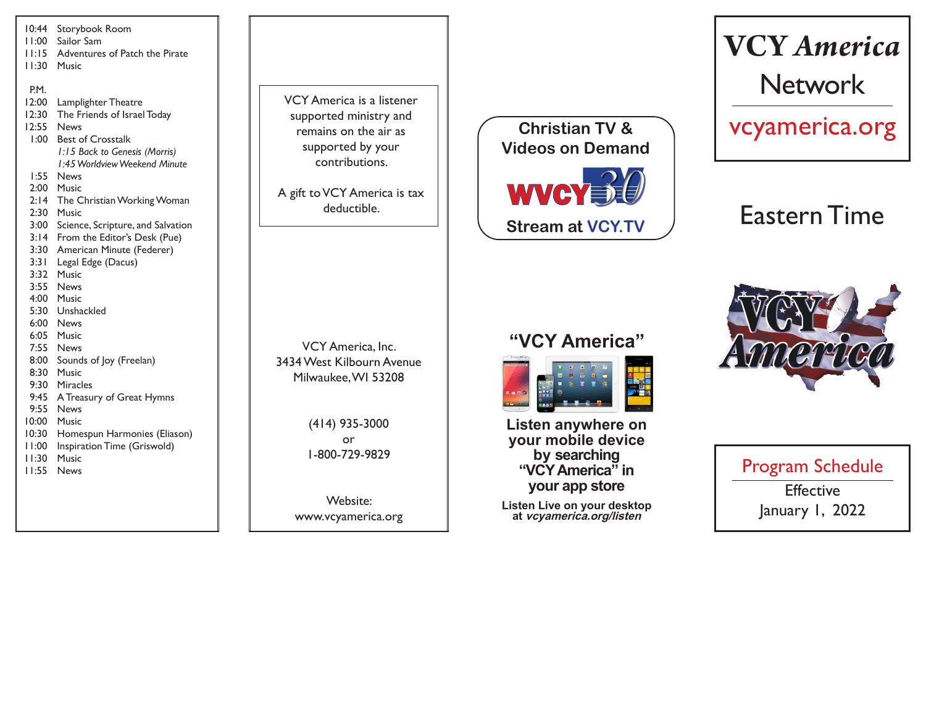| 10:44          | Storybook Room                       |
|----------------|--------------------------------------|
| l I:00         | Sailor Sam                           |
| 11:15          | Adventures of Patch the Pirate       |
| 11:30          | Music                                |
|                |                                      |
| P.M.           |                                      |
| 12:00          | Lamplighter Theatre                  |
| 12:30          | The Friends of Israel Today          |
| 12:55          | News                                 |
| 1:00           | <b>Best of Crosstalk</b>             |
|                | 1:15 Back to Genesis (Morris)        |
|                | 1:45 Worldview Weekend Minute        |
| 1:55           | News                                 |
| 2:00           | Music                                |
| 2:14           | The Christian Working Woman          |
| 2:30           | Music                                |
| 3:00           | Science, Scripture, and Salvation    |
| 3:14           | From the Editor's Desk (Pue)         |
| 3:30           | American Minute (Federer)            |
| 3:31           | Legal Edge (Dacus)                   |
| 3:32           | Music                                |
| 3:55           | <b>News</b>                          |
| 4:00           | Music                                |
| 5:30           | Unshackled                           |
| 6:00           | <b>News</b>                          |
| 6:05           | Music                                |
| 7:55           | <b>News</b>                          |
| 8:00           | Sounds of Joy (Freelan)              |
| 8:30           | Music                                |
| 9:30           | <b>Miracles</b>                      |
| 9:45<br>9:55   | A Treasury of Great Hymns            |
| 10:00          | <b>News</b>                          |
|                | Music                                |
| 10:30          | Homespun Harmonies (Eliason)         |
| 11:00<br>11:30 | Inspiration Time (Griswold)<br>Music |
| 11:55          | <b>News</b>                          |
|                |                                      |
|                |                                      |
|                |                                      |
|                |                                      |

VCY America is a listener supported ministry and remains on the air as supported by your contributions.

A gift to VCY America is tax deductible.



# **VCY** *America* Network

vcyamerica.org

## Eastern Time

### **"VCY America"**



**Listen anywhere on your mobile device by searching "VCY America" in your app store**

**Listen Live on your desktop at vcyamerica.org/listen**



Program Schedule **Effective** January 1, 2022

VCY America, Inc. 3434 West Kilbourn Avenue Milwaukee, WI 53208

> (414) 935-3000 or 1-800-729-9829

Website: www.vcyamerica.org